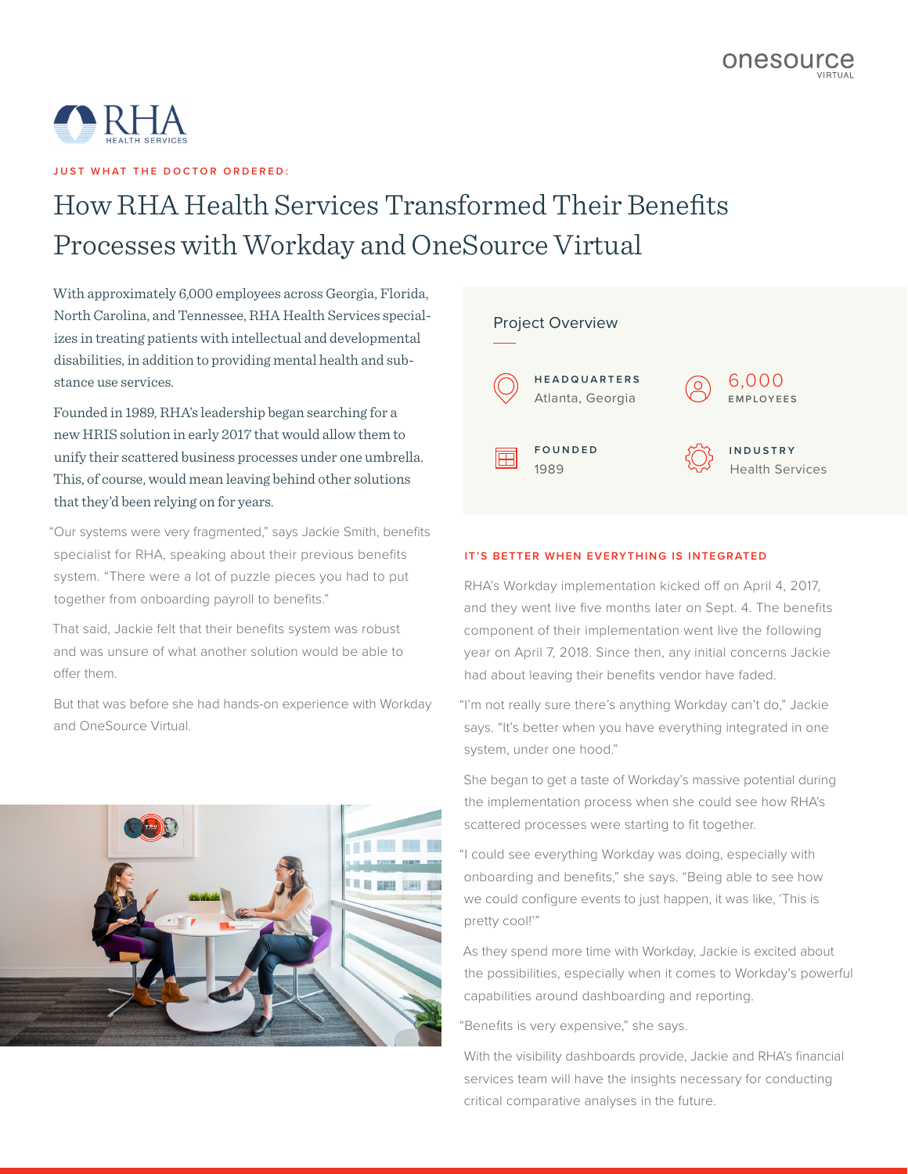

**JUST WHAT THE DOCTOR ORDERED:** 

## How RHA Health Services Transformed Their Benefits Processes with Workday and OneSource Virtual

With approximately 6,000 employees across Georgia, Florida, North Carolina, and Tennessee, RHA Health Services specializes in treating patients with intellectual and developmental disabilities, in addition to providing mental health and substance use services.

Founded in 1989, RHA's leadership began searching for a new HRIS solution in early 2017 that would allow them to unify their scattered business processes under one umbrella. This, of course, would mean leaving behind other solutions that they'd been relying on for years.

"Our systems were very fragmented," says Jackie Smith, benefits specialist for RHA, speaking about their previous benefits system. "There were a lot of puzzle pieces you had to put together from onboarding payroll to benefits."

That said, Jackie felt that their benefits system was robust and was unsure of what another solution would be able to offer them.

But that was before she had hands-on experience with Workday and OneSource Virtual.



## Project Overview **H E A D Q U A R T E R S**  6,000 Atlanta, Georgia **EMPLOYEES F O U N D E D INDUSTRY** Ħ Health Services 1989

## **IT'S BETTER WHEN EVERYTHING IS INTEGRATED**

RHA's Workday implementation kicked off on April 4, 2017, and they went live five months later on Sept. 4. The benefits component of their implementation went live the following year on April 7, 2018. Since then, any initial concerns Jackie had about leaving their benefits vendor have faded.

"I'm not really sure there's anything Workday can't do," Jackie says. "It's better when you have everything integrated in one system, under one hood."

She began to get a taste of Workday's massive potential during the implementation process when she could see how RHA's scattered processes were starting to fit together.

"I could see everything Workday was doing, especially with onboarding and benefits," she says. "Being able to see how we could configure events to just happen, it was like, 'This is pretty cool!"

As they spend more time with Workday, Jackie is excited about the possibilities, especially when it comes to Workday's powerful capabilities around dashboarding and reporting.

"Benefits is very expensive," she says.

With the visibility dashboards provide, Jackie and RHA's financial services team will have the insights necessary for conducting critical comparative analyses in the future.